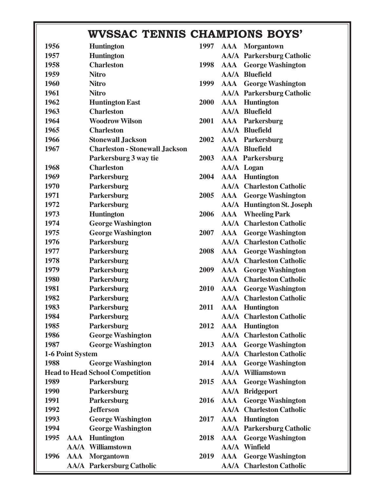|                    |                                        | WVSSAC TENNIS CHAMPIONS BOYS' |  |                                   |
|--------------------|----------------------------------------|-------------------------------|--|-----------------------------------|
| 1956               | <b>Huntington</b>                      | 1997                          |  | <b>AAA</b> Morgantown             |
| 1957               | <b>Huntington</b>                      |                               |  | <b>AA/A</b> Parkersburg Catholic  |
| 1958               | <b>Charleston</b>                      | 1998                          |  | <b>AAA</b> George Washington      |
| 1959               | <b>Nitro</b>                           |                               |  | <b>AA/A Bluefield</b>             |
| 1960               | <b>Nitro</b>                           | 1999                          |  | <b>AAA</b> George Washington      |
| 1961               | <b>Nitro</b>                           |                               |  | <b>AA/A</b> Parkersburg Catholic  |
| 1962               | <b>Huntington East</b>                 | 2000                          |  | <b>AAA</b> Huntington             |
| 1963               | <b>Charleston</b>                      |                               |  | <b>AA/A Bluefield</b>             |
| 1964               | <b>Woodrow Wilson</b>                  | 2001                          |  | <b>AAA</b> Parkersburg            |
| 1965               | <b>Charleston</b>                      |                               |  | <b>AA/A Bluefield</b>             |
| 1966               | <b>Stonewall Jackson</b>               | 2002                          |  | <b>AAA</b> Parkersburg            |
| 1967               | <b>Charleston - Stonewall Jackson</b>  |                               |  | <b>AA/A Bluefield</b>             |
|                    | Parkersburg 3 way tie                  | 2003                          |  | <b>AAA</b> Parkersburg            |
| 1968               | <b>Charleston</b>                      |                               |  | <b>AA/A Logan</b>                 |
| 1969               | Parkersburg                            | 2004                          |  | <b>AAA</b> Huntington             |
| 1970               | Parkersburg                            |                               |  | <b>AA/A</b> Charleston Catholic   |
| 1971               | Parkersburg                            | 2005                          |  | <b>AAA</b> George Washington      |
| 1972               | Parkersburg                            |                               |  | <b>AA/A</b> Huntington St. Joseph |
| 1973               | <b>Huntington</b>                      | 2006                          |  | <b>AAA</b> Wheeling Park          |
| 1974               | <b>George Washington</b>               |                               |  | <b>AA/A</b> Charleston Catholic   |
| 1975               | <b>George Washington</b>               | 2007                          |  | <b>AAA</b> George Washington      |
| 1976               | Parkersburg                            |                               |  | <b>AA/A</b> Charleston Catholic   |
| 1977               | Parkersburg                            | 2008                          |  | <b>AAA</b> George Washington      |
| 1978               | Parkersburg                            |                               |  | <b>AA/A</b> Charleston Catholic   |
| 1979               | Parkersburg                            | 2009                          |  | <b>AAA</b> George Washington      |
| 1980               | Parkersburg                            |                               |  | <b>AA/A</b> Charleston Catholic   |
| 1981               | Parkersburg                            | 2010                          |  | <b>AAA</b> George Washington      |
| 1982               | Parkersburg                            |                               |  | <b>AA/A</b> Charleston Catholic   |
| 1983               | Parkersburg                            | 2011                          |  | <b>AAA</b> Huntington             |
| 1984               | Parkersburg                            |                               |  | <b>AA/A</b> Charleston Catholic   |
| 1985               | Parkersburg                            | 2012                          |  | <b>AAA</b> Huntington             |
| 1986               | <b>George Washington</b>               |                               |  | <b>AA/A</b> Charleston Catholic   |
| 1987               | <b>George Washington</b>               | 2013                          |  | <b>AAA</b> George Washington      |
| 1-6 Point System   |                                        |                               |  | <b>AA/A</b> Charleston Catholic   |
| 1988               | <b>George Washington</b>               | 2014                          |  | <b>AAA</b> George Washington      |
|                    | <b>Head to Head School Competition</b> |                               |  | <b>AA/A Williamstown</b>          |
| 1989               | Parkersburg                            | 2015                          |  | <b>AAA</b> George Washington      |
| 1990               | Parkersburg                            |                               |  | <b>AA/A Bridgeport</b>            |
| 1991               | Parkersburg                            | 2016                          |  | <b>AAA</b> George Washington      |
| 1992               | <b>Jefferson</b>                       |                               |  | <b>AA/A</b> Charleston Catholic   |
| 1993               | <b>George Washington</b>               | 2017                          |  | <b>AAA</b> Huntington             |
| 1994               | <b>George Washington</b>               |                               |  | <b>AA/A</b> Parkersburg Catholic  |
| 1995<br><b>AAA</b> | Huntington                             | 2018                          |  | <b>AAA</b> George Washington      |
|                    | <b>AA/A Williamstown</b>               |                               |  | <b>AA/A Winfield</b>              |
| 1996               | <b>AAA</b> Morgantown                  | 2019                          |  | <b>AAA</b> George Washington      |
|                    | <b>AA/A</b> Parkersburg Catholic       |                               |  | <b>AA/A</b> Charleston Catholic   |